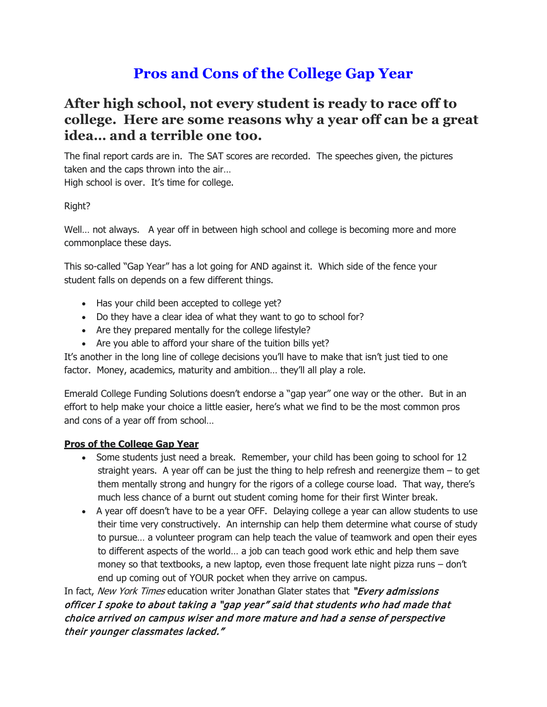# **Pros and Cons of the College Gap Year**

## **After high school, not every student is ready to race off to college. Here are some reasons why a year off can be a great idea… and a terrible one too.**

The final report cards are in. The SAT scores are recorded. The speeches given, the pictures taken and the caps thrown into the air… High school is over. It's time for college.

Right?

Well… not always. A year off in between high school and college is becoming more and more commonplace these days.

This so-called "Gap Year" has a lot going for AND against it. Which side of the fence your student falls on depends on a few different things.

- Has your child been accepted to college yet?
- Do they have a clear idea of what they want to go to school for?
- Are they prepared mentally for the college lifestyle?
- Are you able to afford your share of the tuition bills yet?

It's another in the long line of college decisions you'll have to make that isn't just tied to one factor. Money, academics, maturity and ambition… they'll all play a role.

Emerald College Funding Solutions doesn't endorse a "gap year" one way or the other. But in an effort to help make your choice a little easier, here's what we find to be the most common pros and cons of a year off from school…

#### **Pros of the College Gap Year**

- Some students just need a break. Remember, your child has been going to school for 12 straight years. A year off can be just the thing to help refresh and reenergize them – to get them mentally strong and hungry for the rigors of a college course load. That way, there's much less chance of a burnt out student coming home for their first Winter break.
- A year off doesn't have to be a year OFF. Delaying college a year can allow students to use their time very constructively. An internship can help them determine what course of study to pursue… a volunteer program can help teach the value of teamwork and open their eyes to different aspects of the world… a job can teach good work ethic and help them save money so that textbooks, a new laptop, even those frequent late night pizza runs – don't end up coming out of YOUR pocket when they arrive on campus.

In fact, New York Times education writer Jonathan Glater states that "Every admissions" officer I spoke to about taking a "gap year" said that students who had made that choice arrived on campus wiser and more mature and had a sense of perspective their younger classmates lacked."